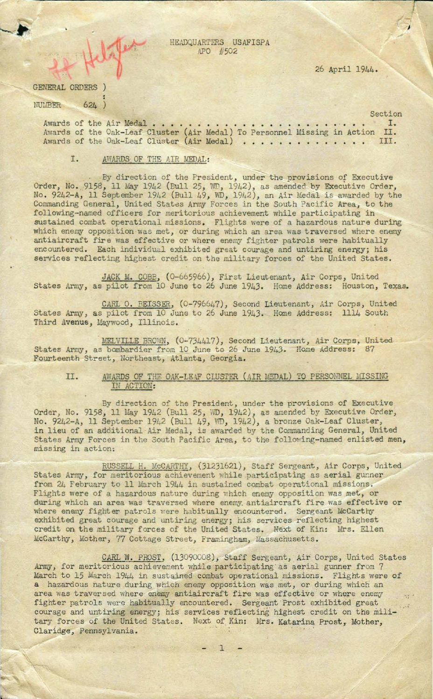,

------------------------------------------- ---------

By direction of the President, under the provisions of Executive Order, No. 9158, 11 May 1942 (Bull 25, WD, 1942), as amended by Executive Order, No . 9242-A, l1 September 1942 (Bull 49, WD, 1942), an Air Medal is awarded by the Commanding General, United States Army Forces in the South Pacific Area, to the following-named officers for meritorious achievement while participating in sustained combat operational missions. Flights were of a hazardous nature during which enemy opposition was met, or during which an area was traversed where enemy antiaircraft fire was effective or where enemy fighter patrols were habitually encountered. Each individual exhibited great courage and untiring energy; his services reflecting highest credit on the military forces of the United States.

JACK M. COBB, (0-665966), First Lieutenant, Air Corps, United States Army, as pilot from 10 June to 26 June 1943. Home Address: Houston, Texas.

CARL O. BEISSER, (0-796647), Second Lieutenant, Air Corps, United States Army, as pilot from 10 June to 26 June 1943. Home Address: 1114 South Third Avenue, Maywood, Illinois.

HEADQUARTERS USAFISPA APO #502

 $\bullet$  . For a set of the set of the set of the set of the set of the set of the set of the set of the set of the set of the set of the set of the set of the set of the set of the set of the set of the set of the set of the

-•

•

. .. . . .. . . . . . .. .. . . . . . . . . . . .. .. Awards 1. of the Air Medal Awards of the Oak-Leaf Cluster (Air Medal) To Personnel Missing in Action II. Awards of the Oak-Leaf Cluster (Air Medal) To Personnel Missing in Action II.<br>Awards of the Oak-Leaf Cluster (Air Medal) . . . . . . . . . . . . . . . . III.

26 April 1944 .

## GENERAL ORDERS ) NULEER • • 624 )

Section

## 1. AWARDS, OF THE AIR MEDAL :

MELVILLE BROWN, (0-734417), Second Lieutenant, Air Corps, United States Army, as bombardier from 10 June to 26 June 1943. Home Address: 87 Fourteenth Street, Northeast, Atlanta, Georgia.

## II. AWARDS OF THE OAK-LEAF CLUSTER (AIR MEDAL) TO PERSONNEL MISSING IN ACTION:

By direction of the President, under the provisions of Executive Order, No. 9158, 11 May 1942 (Bull 25, WD, 1942), as amended by Executive Order, No. 9242-A, 11 September 1942 (Bull 49, vm, 1942), a bronze Oak- Leaf Cluster, in lieu of an additional Air Medal, is awarded by the Commanding General, United States Army Forces in the South Pacific Area, to the following-named enlisted men, missing in action:

RUSSELL H. McCARTHY, (31231621), Staff Sergeant, Air Corps, United States Army, for meritorious achievement while participating as aerial gunner from 24 February to 11 March 1944 in sustained combat operational missions. Flights were of a hazardous nature during which enemy opposition was met, or during which an area was traversed where enemy antiaircraft fire was effective or where enemy fighter patrols were habitually encountered. Sergeant McCarthy exhibited great courage and untiring energy; his services reflecting highest credit on the military forces of the United States. Next of Kin: Mrs. Ellen McCarthy, Mother, 77 Cottage Street, Framingham, Massachusetts.

CARL W. PROST, (13090008), Staff Sergeant, Air Corps, United States Army, for meritorious achievement while participating as aerial gunner from 7 March to 15 March 1944 in sustained combat operational missions. Flights were of a hazardous nature during which enemy opposition was met, or during which an area was traversed where enemy antiaircraft fire was effective or where enemy 's fighter patrols were habitually encountered. Sergeant Prost exhibited great courage and untiring energy; his services reflecting highest credit on the military forces of the United States. Next of Kin: Mrs. Katarina Prost, Mother, Claridge, Pennsylvania.

 $- 1 -$ 



*J*